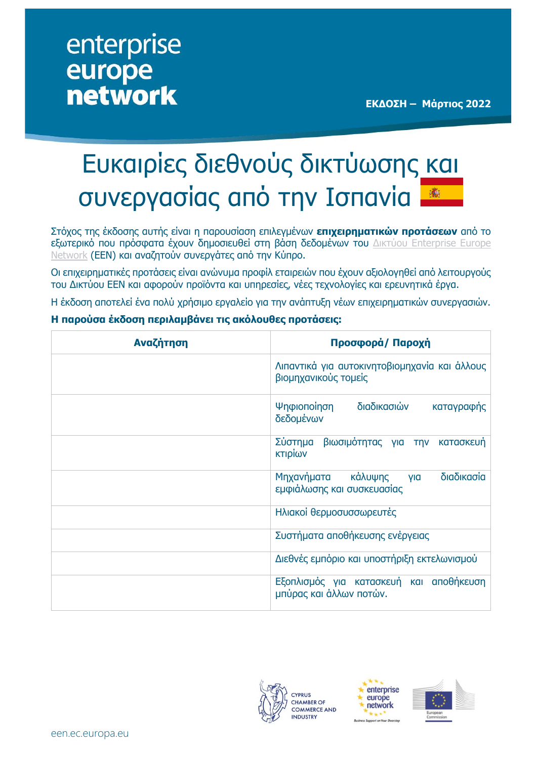## enterprise europe **network**

# Ευκαιρίες διεθνούς δικτύωσης και συνεργασίας από την Ισπανία

Στόχος της έκδοσης αυτής είναι η παρουσίαση επιλεγμένων **επιχειρηματικών προτάσεων** από το εξωτερικό που πρόσφατα έχουν δημοσιευθεί στη βάση δεδομένων του Δικτύου [Enterprise](https://een.ec.europa.eu/) Europe [Network](https://een.ec.europa.eu/) (ΕΕΝ) και αναζητούν συνεργάτες από την Κύπρο.

Οι επιχειρηματικές προτάσεις είναι ανώνυμα προφίλ εταιρειών που έχουν αξιολογηθεί από λειτουργούς του Δικτύου ΕΕΝ και αφορούν προϊόντα και υπηρεσίες, νέες τεχνολογίες και ερευνητικά έργα.

Η έκδοση αποτελεί ένα πολύ χρήσιμο εργαλείο για την ανάπτυξη νέων επιχειρηματικών συνεργασιών.

#### **Η παρούσα έκδοση περιλαμβάνει τις ακόλουθες προτάσεις:**

| Αναζήτηση | Προσφορά/ Παροχή                                                         |
|-----------|--------------------------------------------------------------------------|
|           | Λιπαντικά για αυτοκινητοβιομηχανία και άλλους<br>βιομηχανικούς τομείς    |
|           | διαδικασιών<br>Ψηφιοποίηση<br>καταγραφής<br>δεδομένων                    |
|           | Σύστημα<br>βιωσιμότητας για την<br>κατασκευή<br>κτιρίων                  |
|           | διαδικασία<br>Μηχανήματα<br>κάλυψης<br>yia<br>εμφιάλωσης και συσκευασίας |
|           | Ηλιακοί θερμοσυσσωρευτές                                                 |
|           | Συστήματα αποθήκευσης ενέργειας                                          |
|           | Διεθνές εμπόριο και υποστήριξη εκτελωνισμού                              |
|           | Εξοπλισμός για κατασκευή και αποθήκευση<br>μπύρας και άλλων ποτών.       |





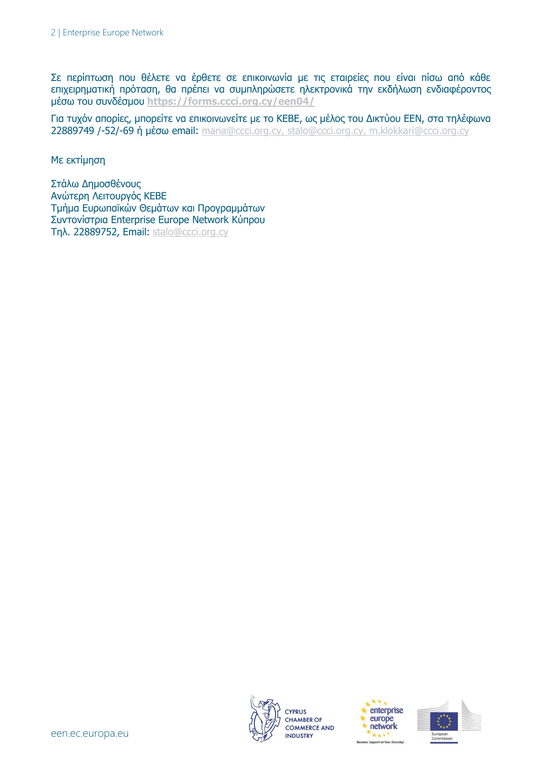Σε περίπτωση που θέλετε να έρθετε σε επικοινωνία με τις εταιρείες που είναι πίσω από κάθε επιχειρηματική πρόταση, θα πρέπει να συμπληρώσετε ηλεκτρονικά την εκδήλωση ενδιαφέροντος μέσω του συνδέσμου **<https://forms.ccci.org.cy/een04/>**

Για τυχόν απορίες, μπορείτε να επικοινωνείτε με το ΚΕΒΕ, ως μέλος του Δικτύου EEN, στα τηλέφωνα 22889749 /-52/-69 ή μέσω email: [maria@ccci.org.cy,](mailto:maria@ccci.org.cy) [stalo@ccci.org.cy,](mailto:stalo@ccci.org.cy) [m.klokkari@ccci.org.cy](mailto:m.klokkari@ccci.org.cy)

Με εκτίμηση

Στάλω Δημοσθένους Ανώτερη Λειτουργός ΚΕΒΕ Τμήμα Ευρωπαϊκών Θεμάτων και Προγραμμάτων Συντονίστρια Enterprise Europe Network Κύπρου Τηλ. 22889752, Email: [stalo@ccci.org.cy](mailto:stalo@ccci.org.cy)





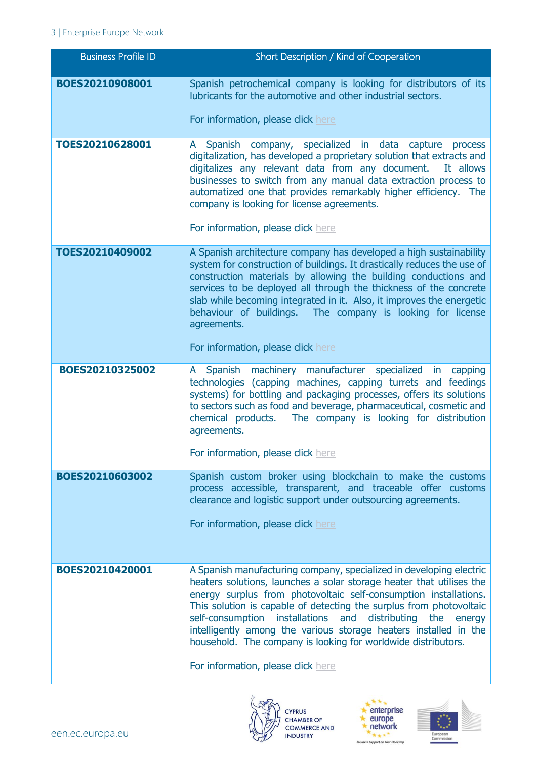### 3 | Enterprise Europe Network

| <b>Business Profile ID</b> | Short Description / Kind of Cooperation                                                                                                                                                                                                                                                                                                                                                                                                                                                                                                        |
|----------------------------|------------------------------------------------------------------------------------------------------------------------------------------------------------------------------------------------------------------------------------------------------------------------------------------------------------------------------------------------------------------------------------------------------------------------------------------------------------------------------------------------------------------------------------------------|
| BOES20210908001            | Spanish petrochemical company is looking for distributors of its<br>lubricants for the automotive and other industrial sectors.                                                                                                                                                                                                                                                                                                                                                                                                                |
|                            | For information, please click here                                                                                                                                                                                                                                                                                                                                                                                                                                                                                                             |
| TOES20210628001            | A Spanish company, specialized in data capture process<br>digitalization, has developed a proprietary solution that extracts and<br>digitalizes any relevant data from any document.<br>It allows<br>businesses to switch from any manual data extraction process to<br>automatized one that provides remarkably higher efficiency. The<br>company is looking for license agreements.<br>For information, please click here                                                                                                                    |
| TOES20210409002            | A Spanish architecture company has developed a high sustainability<br>system for construction of buildings. It drastically reduces the use of<br>construction materials by allowing the building conductions and<br>services to be deployed all through the thickness of the concrete<br>slab while becoming integrated in it. Also, it improves the energetic<br>behaviour of buildings. The company is looking for license<br>agreements.<br>For information, please click here                                                              |
| BOES20210325002            | A Spanish machinery manufacturer specialized in capping<br>technologies (capping machines, capping turrets and feedings<br>systems) for bottling and packaging processes, offers its solutions<br>to sectors such as food and beverage, pharmaceutical, cosmetic and<br>The company is looking for distribution<br>chemical products.<br>agreements.<br>For information, please click here                                                                                                                                                     |
| BOES20210603002            | Spanish custom broker using blockchain to make the customs                                                                                                                                                                                                                                                                                                                                                                                                                                                                                     |
|                            | process accessible, transparent, and traceable offer customs<br>clearance and logistic support under outsourcing agreements.<br>For information, please click here                                                                                                                                                                                                                                                                                                                                                                             |
| BOES20210420001            | A Spanish manufacturing company, specialized in developing electric<br>heaters solutions, launches a solar storage heater that utilises the<br>energy surplus from photovoltaic self-consumption installations.<br>This solution is capable of detecting the surplus from photovoltaic<br>distributing<br>self-consumption<br>installations<br>and<br>the<br>energy<br>intelligently among the various storage heaters installed in the<br>household. The company is looking for worldwide distributors.<br>For information, please click here |